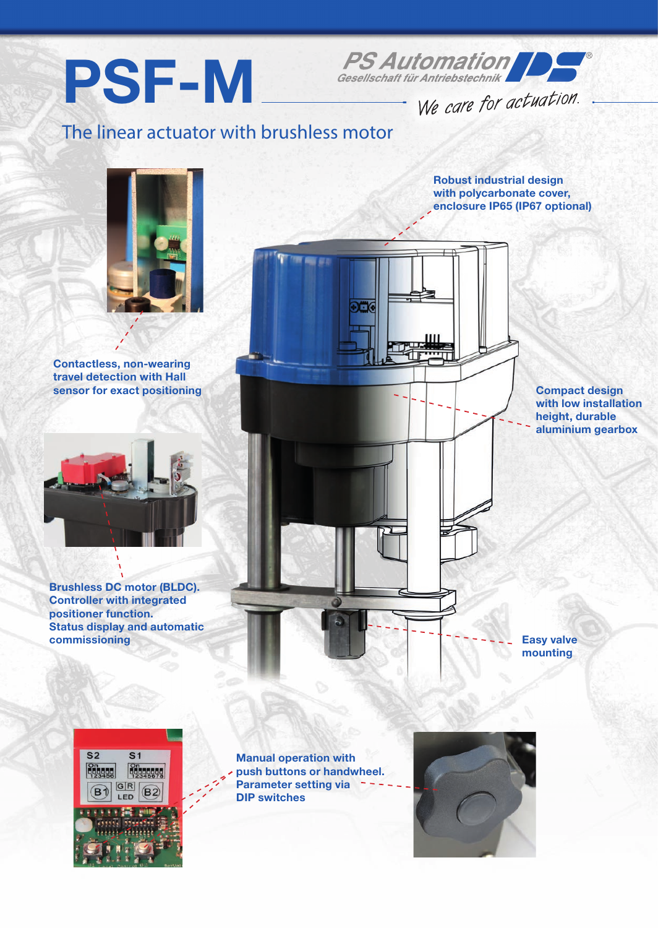



We care for actuation.

## The linear actuator with brushless motor



Contactless, non-wearing travel detection with Hall sensor for exact positioning



Brushless DC motor (BLDC). Controller with integrated positioner function. Status display and automatic commissioning

Robust industrial design with polycarbonate cover, enclosure IP65 (IP67 optional)

> Compact design with low installation height, durable aluminium gearbox

Easy valve mounting



Manual operation with push buttons or handwheel. Parameter setting via DIP switches

解 解